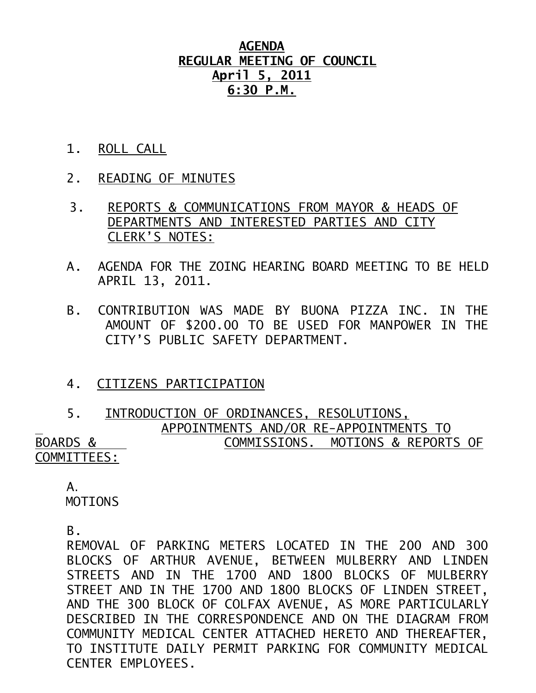## **AGENDA REGULAR MEETING OF COUNCIL April 5, 2011 6:30 P.M.**

- 1. ROLL CALL
- 2. READING OF MINUTES
- 3. REPORTS & COMMUNICATIONS FROM MAYOR & HEADS OF DEPARTMENTS AND INTERESTED PARTIES AND CITY CLERK'S NOTES:
- A. AGENDA FOR THE ZOING HEARING BOARD MEETING TO BE HELD APRIL 13, 2011.
- B. CONTRIBUTION WAS MADE BY BUONA PIZZA INC. IN THE AMOUNT OF \$200.00 TO BE USED FOR MANPOWER IN THE CITY'S PUBLIC SAFETY DEPARTMENT.

### 4. CITIZENS PARTICIPATION

#### 5. INTRODUCTION OF ORDINANCES, RESOLUTIONS, APPOINTMENTS AND/OR RE-APPOINTMENTS TO BOARDS & COMMISSIONS. MOTIONS & REPORTS OF COMMITTEES:

 A. MOTIONS

B.

REMOVAL OF PARKING METERS LOCATED IN THE 200 AND 300 BLOCKS OF ARTHUR AVENUE, BETWEEN MULBERRY AND LINDEN STREETS AND IN THE 1700 AND 1800 BLOCKS OF MULBERRY STREET AND IN THE 1700 AND 1800 BLOCKS OF LINDEN STREET, AND THE 300 BLOCK OF COLFAX AVENUE, AS MORE PARTICULARLY DESCRIBED IN THE CORRESPONDENCE AND ON THE DIAGRAM FROM COMMUNITY MEDICAL CENTER ATTACHED HERETO AND THEREAFTER, TO INSTITUTE DAILY PERMIT PARKING FOR COMMUNITY MEDICAL CENTER EMPLOYEES.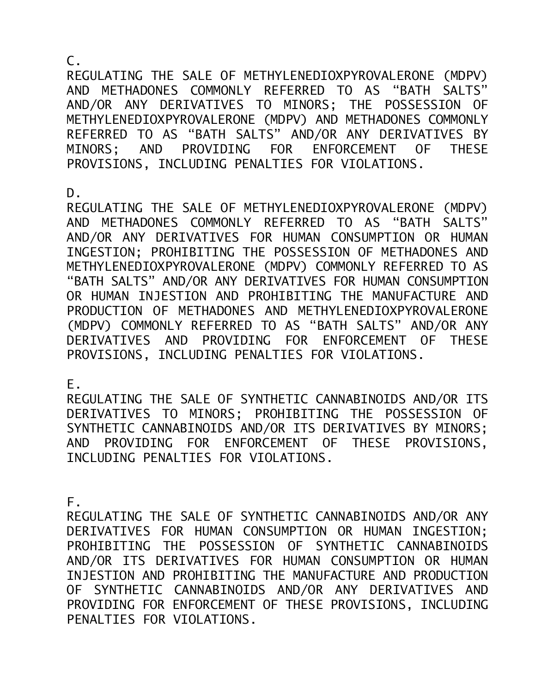C.

REGULATING THE SALE OF METHYLENEDIOXPYROVALERONE (MDPV) AND METHADONES COMMONLY REFERRED TO AS "BATH SALTS" AND/OR ANY DERIVATIVES TO MINORS; THE POSSESSION OF METHYLENEDIOXPYROVALERONE (MDPV) AND METHADONES COMMONLY REFERRED TO AS "BATH SALTS" AND/OR ANY DERIVATIVES BY MINORS; AND PROVIDING FOR ENFORCEMENT OF THESE PROVISIONS, INCLUDING PENALTIES FOR VIOLATIONS.

D.

REGULATING THE SALE OF METHYLENEDIOXPYROVALERONE (MDPV) AND METHADONES COMMONLY REFERRED TO AS "BATH SALTS" AND/OR ANY DERIVATIVES FOR HUMAN CONSUMPTION OR HUMAN INGESTION; PROHIBITING THE POSSESSION OF METHADONES AND METHYLENEDIOXPYROVALERONE (MDPV) COMMONLY REFERRED TO AS "BATH SALTS" AND/OR ANY DERIVATIVES FOR HUMAN CONSUMPTION OR HUMAN INJESTION AND PROHIBITING THE MANUFACTURE AND PRODUCTION OF METHADONES AND METHYLENEDIOXPYROVALERONE (MDPV) COMMONLY REFERRED TO AS "BATH SALTS" AND/OR ANY DERIVATIVES AND PROVIDING FOR ENFORCEMENT OF THESE PROVISIONS, INCLUDING PENALTIES FOR VIOLATIONS.

E.

REGULATING THE SALE OF SYNTHETIC CANNABINOIDS AND/OR ITS DERIVATIVES TO MINORS; PROHIBITING THE POSSESSION OF SYNTHETIC CANNABINOIDS AND/OR ITS DERIVATIVES BY MINORS; AND PROVIDING FOR ENFORCEMENT OF THESE PROVISIONS, INCLUDING PENALTIES FOR VIOLATIONS.

F.

REGULATING THE SALE OF SYNTHETIC CANNABINOIDS AND/OR ANY DERIVATIVES FOR HUMAN CONSUMPTION OR HUMAN INGESTION; PROHIBITING THE POSSESSION OF SYNTHETIC CANNABINOIDS AND/OR ITS DERIVATIVES FOR HUMAN CONSUMPTION OR HUMAN INJESTION AND PROHIBITING THE MANUFACTURE AND PRODUCTION OF SYNTHETIC CANNABINOIDS AND/OR ANY DERIVATIVES AND PROVIDING FOR ENFORCEMENT OF THESE PROVISIONS, INCLUDING PENALTIES FOR VIOLATIONS.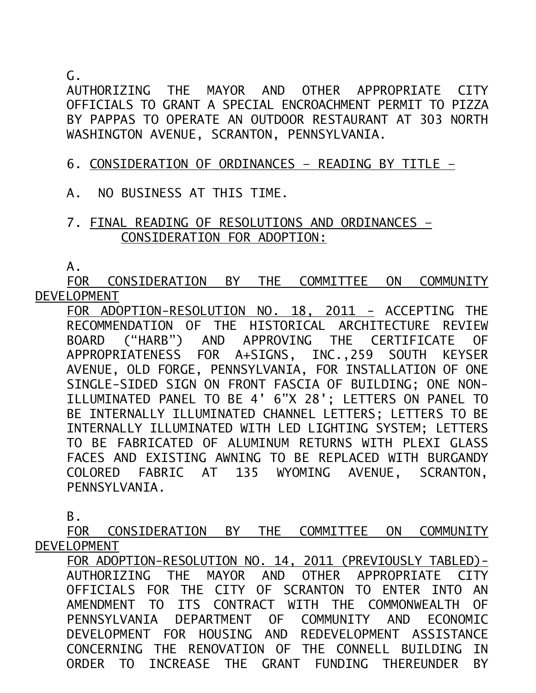G.

AUTHORIZING THE MAYOR AND OTHER APPROPRIATE CITY OFFICIALS TO GRANT A SPECIAL ENCROACHMENT PERMIT TO PIZZA BY PAPPAS TO OPERATE AN OUTDOOR RESTAURANT AT 303 NORTH WASHINGTON AVENUE, SCRANTON, PENNSYLVANIA.

# 6. CONSIDERATION OF ORDINANCES – READING BY TITLE –

A. NO BUSINESS AT THIS TIME.

## 7. FINAL READING OF RESOLUTIONS AND ORDINANCES – CONSIDERATION FOR ADOPTION:

A.

FOR CONSIDERATION BY THE COMMITTEE ON COMMUNITY DEVELOPMENT

FOR ADOPTION-RESOLUTION NO. 18, 2011 - ACCEPTING THE RECOMMENDATION OF THE HISTORICAL ARCHITECTURE REVIEW BOARD ("HARB") AND APPROVING THE CERTIFICATE OF APPROPRIATENESS FOR A+SIGNS, INC.,259 SOUTH KEYSER AVENUE, OLD FORGE, PENNSYLVANIA, FOR INSTALLATION OF ONE SINGLE-SIDED SIGN ON FRONT FASCIA OF BUILDING; ONE NON-ILLUMINATED PANEL TO BE 4' 6"X 28'; LETTERS ON PANEL TO BE INTERNALLY ILLUMINATED CHANNEL LETTERS; LETTERS TO BE INTERNALLY ILLUMINATED WITH LED LIGHTING SYSTEM; LETTERS TO BE FABRICATED OF ALUMINUM RETURNS WITH PLEXI GLASS FACES AND EXISTING AWNING TO BE REPLACED WITH BURGANDY COLORED FABRIC AT 135 WYOMING AVENUE, SCRANTON, PENNSYLVANIA.

B.

FOR CONSIDERATION BY THE COMMITTEE ON COMMUNITY DEVELOPMENT

FOR ADOPTION-RESOLUTION NO. 14, 2011 (PREVIOUSLY TABLED)- AUTHORIZING THE MAYOR AND OTHER APPROPRIATE CITY OFFICIALS FOR THE CITY OF SCRANTON TO ENTER INTO AN AMENDMENT TO ITS CONTRACT WITH THE COMMONWEALTH OF PENNSYLVANIA DEPARTMENT OF COMMUNITY AND ECONOMIC DEVELOPMENT FOR HOUSING AND REDEVELOPMENT ASSISTANCE CONCERNING THE RENOVATION OF THE CONNELL BUILDING IN ORDER TO INCREASE THE GRANT FUNDING THEREUNDER BY